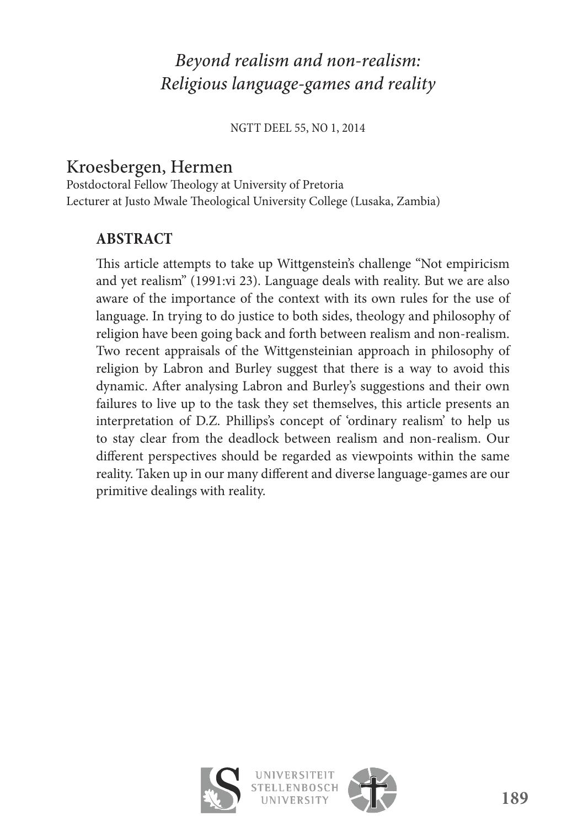# *Beyond realism and non-realism: Religious language-games and reality*

NGTT DEEL 55, NO 1, 2014

## Kroesbergen, Hermen

Postdoctoral Fellow Theology at University of Pretoria Lecturer at Justo Mwale Theological University College (Lusaka, Zambia)

## **ABSTRACT**

This article attempts to take up Wittgenstein's challenge "Not empiricism and yet realism" (1991:vi 23). Language deals with reality. But we are also aware of the importance of the context with its own rules for the use of language. In trying to do justice to both sides, theology and philosophy of religion have been going back and forth between realism and non-realism. Two recent appraisals of the Wittgensteinian approach in philosophy of religion by Labron and Burley suggest that there is a way to avoid this dynamic. After analysing Labron and Burley's suggestions and their own failures to live up to the task they set themselves, this article presents an interpretation of D.Z. Phillips's concept of 'ordinary realism' to help us to stay clear from the deadlock between realism and non-realism. Our different perspectives should be regarded as viewpoints within the same reality. Taken up in our many different and diverse language-games are our primitive dealings with reality.

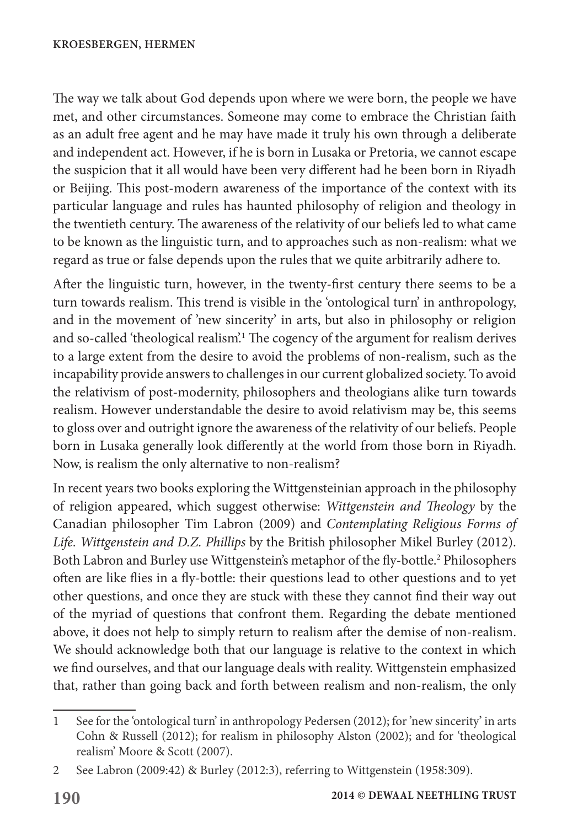The way we talk about God depends upon where we were born, the people we have met, and other circumstances. Someone may come to embrace the Christian faith as an adult free agent and he may have made it truly his own through a deliberate and independent act. However, if he is born in Lusaka or Pretoria, we cannot escape the suspicion that it all would have been very different had he been born in Riyadh or Beijing. This post-modern awareness of the importance of the context with its particular language and rules has haunted philosophy of religion and theology in the twentieth century. The awareness of the relativity of our beliefs led to what came to be known as the linguistic turn, and to approaches such as non-realism: what we regard as true or false depends upon the rules that we quite arbitrarily adhere to.

After the linguistic turn, however, in the twenty-first century there seems to be a turn towards realism. This trend is visible in the 'ontological turn' in anthropology, and in the movement of 'new sincerity' in arts, but also in philosophy or religion and so-called 'theological realism'.1 The cogency of the argument for realism derives to a large extent from the desire to avoid the problems of non-realism, such as the incapability provide answers to challenges in our current globalized society. To avoid the relativism of post-modernity, philosophers and theologians alike turn towards realism. However understandable the desire to avoid relativism may be, this seems to gloss over and outright ignore the awareness of the relativity of our beliefs. People born in Lusaka generally look differently at the world from those born in Riyadh. Now, is realism the only alternative to non-realism?

In recent years two books exploring the Wittgensteinian approach in the philosophy of religion appeared, which suggest otherwise: *Wittgenstein and Theology* by the Canadian philosopher Tim Labron (2009) and *Contemplating Religious Forms of Life. Wittgenstein and D.Z. Phillips* by the British philosopher Mikel Burley (2012). Both Labron and Burley use Wittgenstein's metaphor of the fly-bottle.<sup>2</sup> Philosophers often are like flies in a fly-bottle: their questions lead to other questions and to yet other questions, and once they are stuck with these they cannot find their way out of the myriad of questions that confront them. Regarding the debate mentioned above, it does not help to simply return to realism after the demise of non-realism. We should acknowledge both that our language is relative to the context in which we find ourselves, and that our language deals with reality. Wittgenstein emphasized that, rather than going back and forth between realism and non-realism, the only

<sup>1</sup> See for the 'ontological turn' in anthropology Pedersen (2012); for 'new sincerity' in arts Cohn & Russell (2012); for realism in philosophy Alston (2002); and for 'theological realism' Moore & Scott (2007).

<sup>2</sup> See Labron (2009:42) & Burley (2012:3), referring to Wittgenstein (1958:309).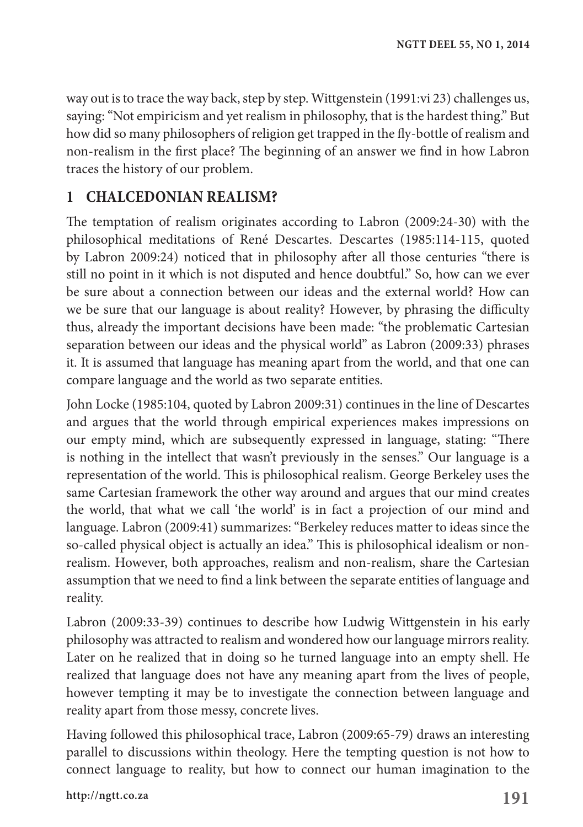way out is to trace the way back, step by step. Wittgenstein (1991:vi 23) challenges us, saying: "Not empiricism and yet realism in philosophy, that is the hardest thing." But how did so many philosophers of religion get trapped in the fly-bottle of realism and non-realism in the first place? The beginning of an answer we find in how Labron traces the history of our problem.

## **1 CHALCEDONIAN REALISM?**

The temptation of realism originates according to Labron (2009:24-30) with the philosophical meditations of René Descartes. Descartes (1985:114-115, quoted by Labron 2009:24) noticed that in philosophy after all those centuries "there is still no point in it which is not disputed and hence doubtful." So, how can we ever be sure about a connection between our ideas and the external world? How can we be sure that our language is about reality? However, by phrasing the difficulty thus, already the important decisions have been made: "the problematic Cartesian separation between our ideas and the physical world" as Labron (2009:33) phrases it. It is assumed that language has meaning apart from the world, and that one can compare language and the world as two separate entities.

John Locke (1985:104, quoted by Labron 2009:31) continues in the line of Descartes and argues that the world through empirical experiences makes impressions on our empty mind, which are subsequently expressed in language, stating: "There is nothing in the intellect that wasn't previously in the senses." Our language is a representation of the world. This is philosophical realism. George Berkeley uses the same Cartesian framework the other way around and argues that our mind creates the world, that what we call 'the world' is in fact a projection of our mind and language. Labron (2009:41) summarizes: "Berkeley reduces matter to ideas since the so-called physical object is actually an idea." This is philosophical idealism or nonrealism. However, both approaches, realism and non-realism, share the Cartesian assumption that we need to find a link between the separate entities of language and reality.

Labron (2009:33-39) continues to describe how Ludwig Wittgenstein in his early philosophy was attracted to realism and wondered how our language mirrors reality. Later on he realized that in doing so he turned language into an empty shell. He realized that language does not have any meaning apart from the lives of people, however tempting it may be to investigate the connection between language and reality apart from those messy, concrete lives.

Having followed this philosophical trace, Labron (2009:65-79) draws an interesting parallel to discussions within theology. Here the tempting question is not how to connect language to reality, but how to connect our human imagination to the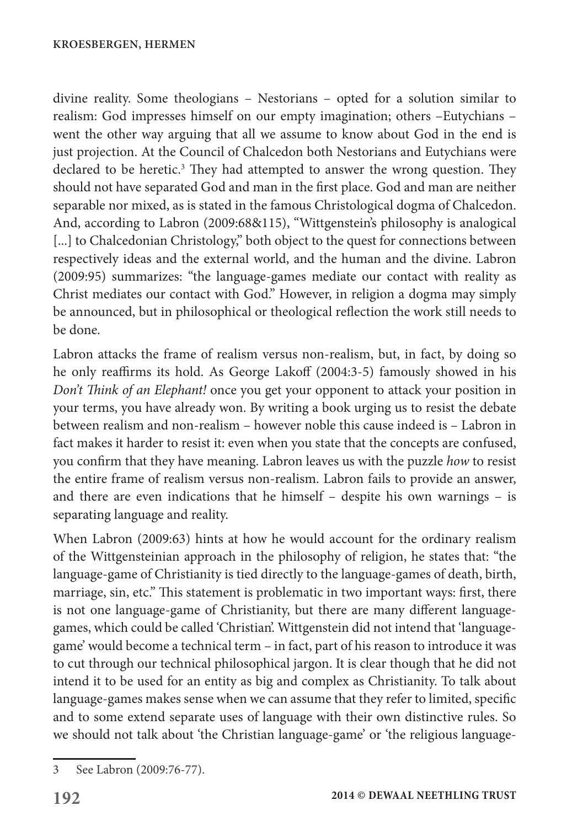divine reality. Some theologians – Nestorians – opted for a solution similar to realism: God impresses himself on our empty imagination; others –Eutychians – went the other way arguing that all we assume to know about God in the end is just projection. At the Council of Chalcedon both Nestorians and Eutychians were declared to be heretic.<sup>3</sup> They had attempted to answer the wrong question. They should not have separated God and man in the first place. God and man are neither separable nor mixed, as is stated in the famous Christological dogma of Chalcedon. And, according to Labron (2009:68&115), "Wittgenstein's philosophy is analogical [...] to Chalcedonian Christology," both object to the quest for connections between respectively ideas and the external world, and the human and the divine. Labron (2009:95) summarizes: "the language-games mediate our contact with reality as Christ mediates our contact with God." However, in religion a dogma may simply be announced, but in philosophical or theological reflection the work still needs to be done.

Labron attacks the frame of realism versus non-realism, but, in fact, by doing so he only reaffirms its hold. As George Lakoff (2004:3-5) famously showed in his *Don't Think of an Elephant!* once you get your opponent to attack your position in your terms, you have already won. By writing a book urging us to resist the debate between realism and non-realism – however noble this cause indeed is – Labron in fact makes it harder to resist it: even when you state that the concepts are confused, you confirm that they have meaning. Labron leaves us with the puzzle *how* to resist the entire frame of realism versus non-realism. Labron fails to provide an answer, and there are even indications that he himself – despite his own warnings – is separating language and reality.

When Labron (2009:63) hints at how he would account for the ordinary realism of the Wittgensteinian approach in the philosophy of religion, he states that: "the language-game of Christianity is tied directly to the language-games of death, birth, marriage, sin, etc." This statement is problematic in two important ways: first, there is not one language-game of Christianity, but there are many different languagegames, which could be called 'Christian'. Wittgenstein did not intend that 'languagegame' would become a technical term – in fact, part of his reason to introduce it was to cut through our technical philosophical jargon. It is clear though that he did not intend it to be used for an entity as big and complex as Christianity. To talk about language-games makes sense when we can assume that they refer to limited, specific and to some extend separate uses of language with their own distinctive rules. So we should not talk about 'the Christian language-game' or 'the religious language-

<sup>3</sup> See Labron (2009:76-77).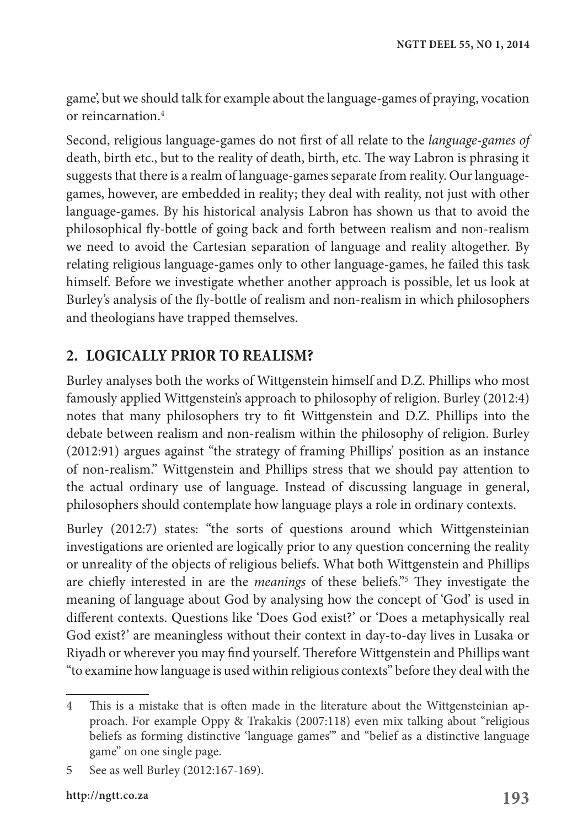game', but we should talk for example about the language-games of praying, vocation or reincarnation.4

Second, religious language-games do not first of all relate to the *language-games of* death, birth etc., but to the reality of death, birth, etc. The way Labron is phrasing it suggests that there is a realm of language-games separate from reality. Our languagegames, however, are embedded in reality; they deal with reality, not just with other language-games. By his historical analysis Labron has shown us that to avoid the philosophical fly-bottle of going back and forth between realism and non-realism we need to avoid the Cartesian separation of language and reality altogether. By relating religious language-games only to other language-games, he failed this task himself. Before we investigate whether another approach is possible, let us look at Burley's analysis of the fly-bottle of realism and non-realism in which philosophers and theologians have trapped themselves.

## **2. LOGICALLY PRIOR TO REALISM?**

Burley analyses both the works of Wittgenstein himself and D.Z. Phillips who most famously applied Wittgenstein's approach to philosophy of religion. Burley (2012:4) notes that many philosophers try to fit Wittgenstein and D.Z. Phillips into the debate between realism and non-realism within the philosophy of religion. Burley (2012:91) argues against "the strategy of framing Phillips' position as an instance of non-realism." Wittgenstein and Phillips stress that we should pay attention to the actual ordinary use of language. Instead of discussing language in general, philosophers should contemplate how language plays a role in ordinary contexts.

Burley (2012:7) states: "the sorts of questions around which Wittgensteinian investigations are oriented are logically prior to any question concerning the reality or unreality of the objects of religious beliefs. What both Wittgenstein and Phillips are chiefly interested in are the *meanings* of these beliefs."5 They investigate the meaning of language about God by analysing how the concept of 'God' is used in different contexts. Questions like 'Does God exist?' or 'Does a metaphysically real God exist?' are meaningless without their context in day-to-day lives in Lusaka or Riyadh or wherever you may find yourself. Therefore Wittgenstein and Phillips want "to examine how language is used within religious contexts" before they deal with the

<sup>4</sup> This is a mistake that is often made in the literature about the Wittgensteinian approach. For example Oppy & Trakakis (2007:118) even mix talking about "religious beliefs as forming distinctive 'language games'" and "belief as a distinctive language game" on one single page.

<sup>5</sup> See as well Burley (2012:167-169).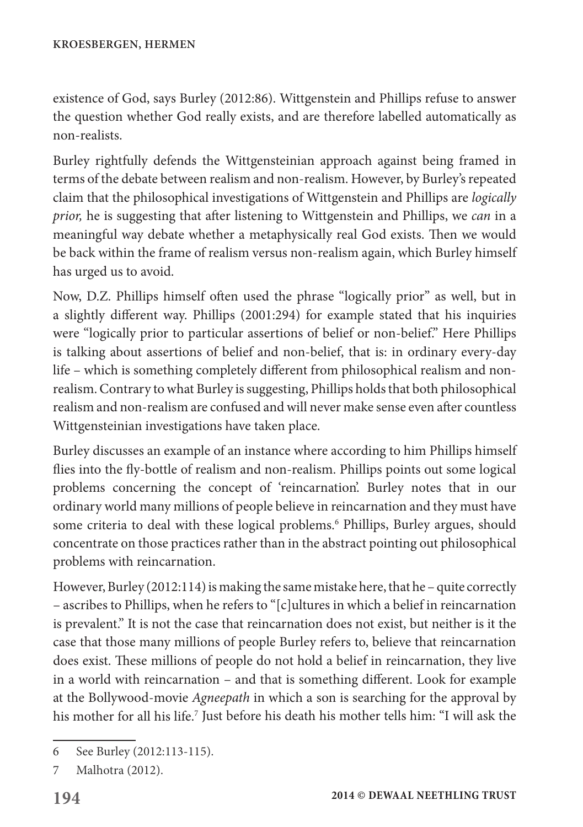existence of God, says Burley (2012:86). Wittgenstein and Phillips refuse to answer the question whether God really exists, and are therefore labelled automatically as non-realists.

Burley rightfully defends the Wittgensteinian approach against being framed in terms of the debate between realism and non-realism. However, by Burley's repeated claim that the philosophical investigations of Wittgenstein and Phillips are *logically prior,* he is suggesting that after listening to Wittgenstein and Phillips, we *can* in a meaningful way debate whether a metaphysically real God exists. Then we would be back within the frame of realism versus non-realism again, which Burley himself has urged us to avoid.

Now, D.Z. Phillips himself often used the phrase "logically prior" as well, but in a slightly different way. Phillips (2001:294) for example stated that his inquiries were "logically prior to particular assertions of belief or non-belief." Here Phillips is talking about assertions of belief and non-belief, that is: in ordinary every-day life – which is something completely different from philosophical realism and nonrealism. Contrary to what Burley is suggesting, Phillips holds that both philosophical realism and non-realism are confused and will never make sense even after countless Wittgensteinian investigations have taken place.

Burley discusses an example of an instance where according to him Phillips himself flies into the fly-bottle of realism and non-realism. Phillips points out some logical problems concerning the concept of 'reincarnation'. Burley notes that in our ordinary world many millions of people believe in reincarnation and they must have some criteria to deal with these logical problems.<sup>6</sup> Phillips, Burley argues, should concentrate on those practices rather than in the abstract pointing out philosophical problems with reincarnation.

However, Burley (2012:114) is making the same mistake here, that he – quite correctly – ascribes to Phillips, when he refers to "[c]ultures in which a belief in reincarnation is prevalent." It is not the case that reincarnation does not exist, but neither is it the case that those many millions of people Burley refers to, believe that reincarnation does exist. These millions of people do not hold a belief in reincarnation, they live in a world with reincarnation – and that is something different. Look for example at the Bollywood-movie *Agneepath* in which a son is searching for the approval by his mother for all his life.<sup>7</sup> Just before his death his mother tells him: "I will ask the

<sup>6</sup> See Burley (2012:113-115).

<sup>7</sup> Malhotra (2012).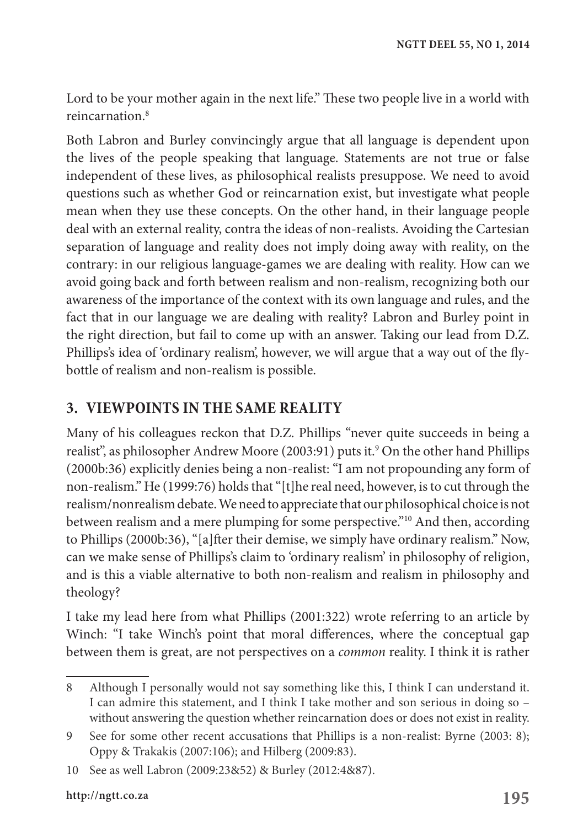Lord to be your mother again in the next life." These two people live in a world with reincarnation.8

Both Labron and Burley convincingly argue that all language is dependent upon the lives of the people speaking that language. Statements are not true or false independent of these lives, as philosophical realists presuppose. We need to avoid questions such as whether God or reincarnation exist, but investigate what people mean when they use these concepts. On the other hand, in their language people deal with an external reality, contra the ideas of non-realists. Avoiding the Cartesian separation of language and reality does not imply doing away with reality, on the contrary: in our religious language-games we are dealing with reality. How can we avoid going back and forth between realism and non-realism, recognizing both our awareness of the importance of the context with its own language and rules, and the fact that in our language we are dealing with reality? Labron and Burley point in the right direction, but fail to come up with an answer. Taking our lead from D.Z. Phillips's idea of 'ordinary realism', however, we will argue that a way out of the flybottle of realism and non-realism is possible.

### **3. VIEWPOINTS IN THE SAME REALITY**

Many of his colleagues reckon that D.Z. Phillips "never quite succeeds in being a realist", as philosopher Andrew Moore (2003:91) puts it.<sup>9</sup> On the other hand Phillips (2000b:36) explicitly denies being a non-realist: "I am not propounding any form of non-realism." He (1999:76) holds that "[t]he real need, however, is to cut through the realism/nonrealism debate. We need to appreciate that our philosophical choice is not between realism and a mere plumping for some perspective."10 And then, according to Phillips (2000b:36), "[a]fter their demise, we simply have ordinary realism." Now, can we make sense of Phillips's claim to 'ordinary realism' in philosophy of religion, and is this a viable alternative to both non-realism and realism in philosophy and theology?

I take my lead here from what Phillips (2001:322) wrote referring to an article by Winch: "I take Winch's point that moral differences, where the conceptual gap between them is great, are not perspectives on a *common* reality. I think it is rather

<sup>8</sup> Although I personally would not say something like this, I think I can understand it. I can admire this statement, and I think I take mother and son serious in doing so – without answering the question whether reincarnation does or does not exist in reality.

<sup>9</sup> See for some other recent accusations that Phillips is a non-realist: Byrne (2003: 8); Oppy & Trakakis (2007:106); and Hilberg (2009:83).

<sup>10</sup> See as well Labron (2009:23&52) & Burley (2012:4&87).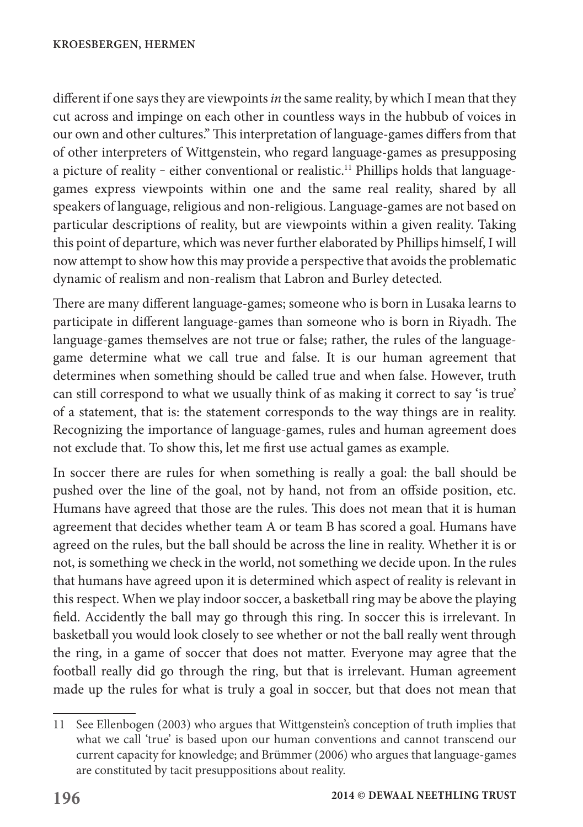different if one says they are viewpoints *in* the same reality, by which I mean that they cut across and impinge on each other in countless ways in the hubbub of voices in our own and other cultures." This interpretation of language-games differs from that of other interpreters of Wittgenstein, who regard language-games as presupposing a picture of reality - either conventional or realistic.<sup>11</sup> Phillips holds that languagegames express viewpoints within one and the same real reality, shared by all speakers of language, religious and non-religious. Language-games are not based on particular descriptions of reality, but are viewpoints within a given reality. Taking this point of departure, which was never further elaborated by Phillips himself, I will now attempt to show how this may provide a perspective that avoids the problematic dynamic of realism and non-realism that Labron and Burley detected.

There are many different language-games; someone who is born in Lusaka learns to participate in different language-games than someone who is born in Riyadh. The language-games themselves are not true or false; rather, the rules of the languagegame determine what we call true and false. It is our human agreement that determines when something should be called true and when false. However, truth can still correspond to what we usually think of as making it correct to say 'is true' of a statement, that is: the statement corresponds to the way things are in reality. Recognizing the importance of language-games, rules and human agreement does not exclude that. To show this, let me first use actual games as example.

In soccer there are rules for when something is really a goal: the ball should be pushed over the line of the goal, not by hand, not from an offside position, etc. Humans have agreed that those are the rules. This does not mean that it is human agreement that decides whether team A or team B has scored a goal. Humans have agreed on the rules, but the ball should be across the line in reality. Whether it is or not, is something we check in the world, not something we decide upon. In the rules that humans have agreed upon it is determined which aspect of reality is relevant in this respect. When we play indoor soccer, a basketball ring may be above the playing field. Accidently the ball may go through this ring. In soccer this is irrelevant. In basketball you would look closely to see whether or not the ball really went through the ring, in a game of soccer that does not matter. Everyone may agree that the football really did go through the ring, but that is irrelevant. Human agreement made up the rules for what is truly a goal in soccer, but that does not mean that

<sup>11</sup> See Ellenbogen (2003) who argues that Wittgenstein's conception of truth implies that what we call 'true' is based upon our human conventions and cannot transcend our current capacity for knowledge; and Brümmer (2006) who argues that language-games are constituted by tacit presuppositions about reality.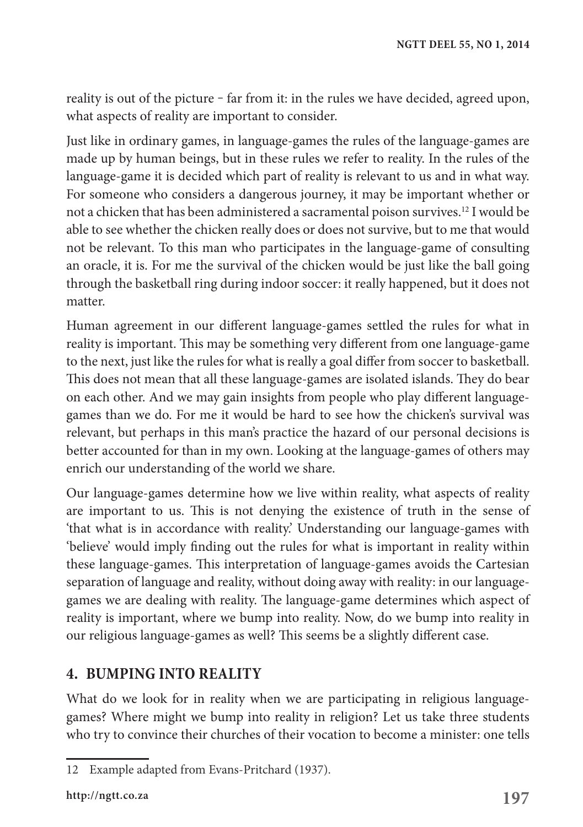reality is out of the picture – far from it: in the rules we have decided, agreed upon, what aspects of reality are important to consider.

Just like in ordinary games, in language-games the rules of the language-games are made up by human beings, but in these rules we refer to reality. In the rules of the language-game it is decided which part of reality is relevant to us and in what way. For someone who considers a dangerous journey, it may be important whether or not a chicken that has been administered a sacramental poison survives.12 I would be able to see whether the chicken really does or does not survive, but to me that would not be relevant. To this man who participates in the language-game of consulting an oracle, it is. For me the survival of the chicken would be just like the ball going through the basketball ring during indoor soccer: it really happened, but it does not matter.

Human agreement in our different language-games settled the rules for what in reality is important. This may be something very different from one language-game to the next, just like the rules for what is really a goal differ from soccer to basketball. This does not mean that all these language-games are isolated islands. They do bear on each other. And we may gain insights from people who play different languagegames than we do. For me it would be hard to see how the chicken's survival was relevant, but perhaps in this man's practice the hazard of our personal decisions is better accounted for than in my own. Looking at the language-games of others may enrich our understanding of the world we share.

Our language-games determine how we live within reality, what aspects of reality are important to us. This is not denying the existence of truth in the sense of 'that what is in accordance with reality.' Understanding our language-games with 'believe' would imply finding out the rules for what is important in reality within these language-games. This interpretation of language-games avoids the Cartesian separation of language and reality, without doing away with reality: in our languagegames we are dealing with reality. The language-game determines which aspect of reality is important, where we bump into reality. Now, do we bump into reality in our religious language-games as well? This seems be a slightly different case.

#### **4. BUMPING INTO REALITY**

What do we look for in reality when we are participating in religious languagegames? Where might we bump into reality in religion? Let us take three students who try to convince their churches of their vocation to become a minister: one tells

<sup>12</sup> Example adapted from Evans-Pritchard (1937).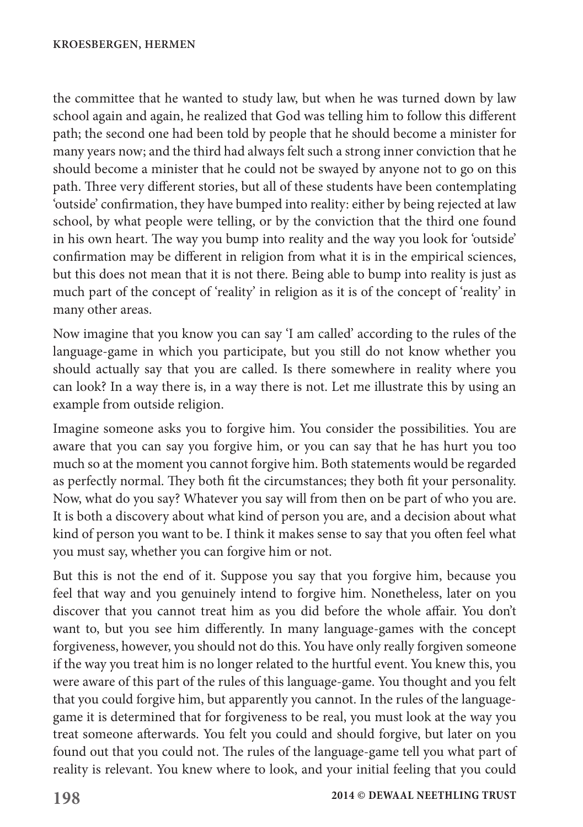the committee that he wanted to study law, but when he was turned down by law school again and again, he realized that God was telling him to follow this different path; the second one had been told by people that he should become a minister for many years now; and the third had always felt such a strong inner conviction that he should become a minister that he could not be swayed by anyone not to go on this path. Three very different stories, but all of these students have been contemplating 'outside' confirmation, they have bumped into reality: either by being rejected at law school, by what people were telling, or by the conviction that the third one found in his own heart. The way you bump into reality and the way you look for 'outside' confirmation may be different in religion from what it is in the empirical sciences, but this does not mean that it is not there. Being able to bump into reality is just as much part of the concept of 'reality' in religion as it is of the concept of 'reality' in many other areas.

Now imagine that you know you can say 'I am called' according to the rules of the language-game in which you participate, but you still do not know whether you should actually say that you are called. Is there somewhere in reality where you can look? In a way there is, in a way there is not. Let me illustrate this by using an example from outside religion.

Imagine someone asks you to forgive him. You consider the possibilities. You are aware that you can say you forgive him, or you can say that he has hurt you too much so at the moment you cannot forgive him. Both statements would be regarded as perfectly normal. They both fit the circumstances; they both fit your personality. Now, what do you say? Whatever you say will from then on be part of who you are. It is both a discovery about what kind of person you are, and a decision about what kind of person you want to be. I think it makes sense to say that you often feel what you must say, whether you can forgive him or not.

But this is not the end of it. Suppose you say that you forgive him, because you feel that way and you genuinely intend to forgive him. Nonetheless, later on you discover that you cannot treat him as you did before the whole affair. You don't want to, but you see him differently. In many language-games with the concept forgiveness, however, you should not do this. You have only really forgiven someone if the way you treat him is no longer related to the hurtful event. You knew this, you were aware of this part of the rules of this language-game. You thought and you felt that you could forgive him, but apparently you cannot. In the rules of the languagegame it is determined that for forgiveness to be real, you must look at the way you treat someone afterwards. You felt you could and should forgive, but later on you found out that you could not. The rules of the language-game tell you what part of reality is relevant. You knew where to look, and your initial feeling that you could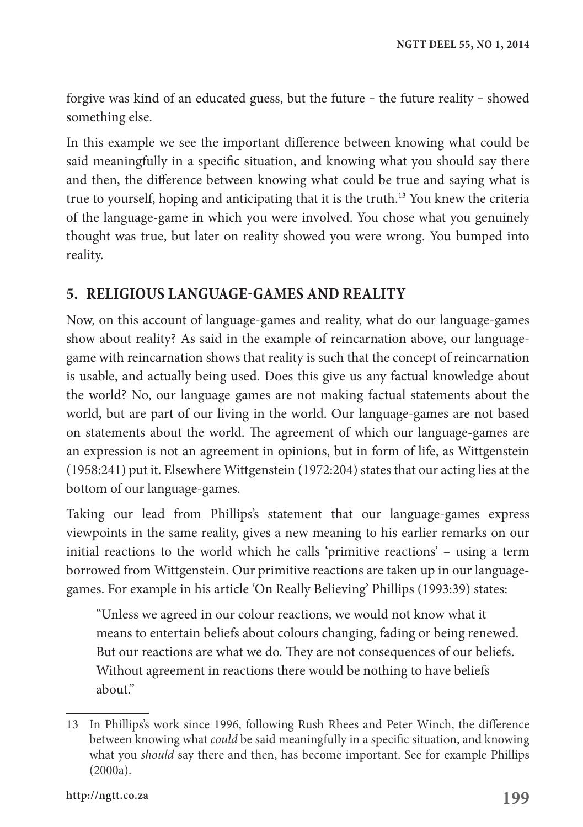forgive was kind of an educated guess, but the future – the future reality – showed something else.

In this example we see the important difference between knowing what could be said meaningfully in a specific situation, and knowing what you should say there and then, the difference between knowing what could be true and saying what is true to yourself, hoping and anticipating that it is the truth.13 You knew the criteria of the language-game in which you were involved. You chose what you genuinely thought was true, but later on reality showed you were wrong. You bumped into reality.

#### **5. RELIGIOUS LANGUAGE-GAMES AND REALITY**

Now, on this account of language-games and reality, what do our language-games show about reality? As said in the example of reincarnation above, our languagegame with reincarnation shows that reality is such that the concept of reincarnation is usable, and actually being used. Does this give us any factual knowledge about the world? No, our language games are not making factual statements about the world, but are part of our living in the world. Our language-games are not based on statements about the world. The agreement of which our language-games are an expression is not an agreement in opinions, but in form of life, as Wittgenstein (1958:241) put it. Elsewhere Wittgenstein (1972:204) states that our acting lies at the bottom of our language-games.

Taking our lead from Phillips's statement that our language-games express viewpoints in the same reality, gives a new meaning to his earlier remarks on our initial reactions to the world which he calls 'primitive reactions' – using a term borrowed from Wittgenstein. Our primitive reactions are taken up in our languagegames. For example in his article 'On Really Believing' Phillips (1993:39) states:

"Unless we agreed in our colour reactions, we would not know what it means to entertain beliefs about colours changing, fading or being renewed. But our reactions are what we do. They are not consequences of our beliefs. Without agreement in reactions there would be nothing to have beliefs about."

<sup>13</sup> In Phillips's work since 1996, following Rush Rhees and Peter Winch, the difference between knowing what *could* be said meaningfully in a specific situation, and knowing what you *should* say there and then, has become important. See for example Phillips (2000a).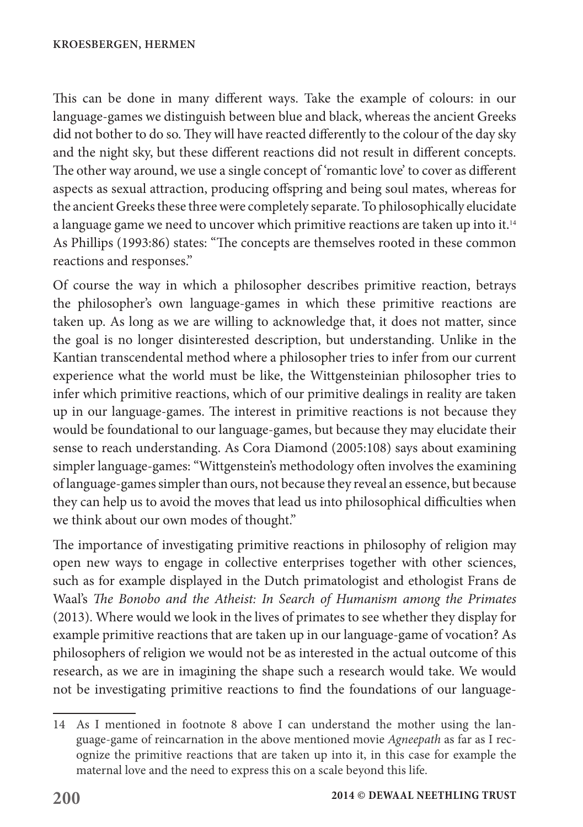This can be done in many different ways. Take the example of colours: in our language-games we distinguish between blue and black, whereas the ancient Greeks did not bother to do so. They will have reacted differently to the colour of the day sky and the night sky, but these different reactions did not result in different concepts. The other way around, we use a single concept of 'romantic love' to cover as different aspects as sexual attraction, producing offspring and being soul mates, whereas for the ancient Greeks these three were completely separate. To philosophically elucidate a language game we need to uncover which primitive reactions are taken up into it.<sup>14</sup> As Phillips (1993:86) states: "The concepts are themselves rooted in these common reactions and responses."

Of course the way in which a philosopher describes primitive reaction, betrays the philosopher's own language-games in which these primitive reactions are taken up. As long as we are willing to acknowledge that, it does not matter, since the goal is no longer disinterested description, but understanding. Unlike in the Kantian transcendental method where a philosopher tries to infer from our current experience what the world must be like, the Wittgensteinian philosopher tries to infer which primitive reactions, which of our primitive dealings in reality are taken up in our language-games. The interest in primitive reactions is not because they would be foundational to our language-games, but because they may elucidate their sense to reach understanding. As Cora Diamond (2005:108) says about examining simpler language-games: "Wittgenstein's methodology often involves the examining of language-games simpler than ours, not because they reveal an essence, but because they can help us to avoid the moves that lead us into philosophical difficulties when we think about our own modes of thought."

The importance of investigating primitive reactions in philosophy of religion may open new ways to engage in collective enterprises together with other sciences, such as for example displayed in the Dutch primatologist and ethologist Frans de Waal's *The Bonobo and the Atheist: In Search of Humanism among the Primates*  (2013). Where would we look in the lives of primates to see whether they display for example primitive reactions that are taken up in our language-game of vocation? As philosophers of religion we would not be as interested in the actual outcome of this research, as we are in imagining the shape such a research would take. We would not be investigating primitive reactions to find the foundations of our language-

<sup>14</sup> As I mentioned in footnote 8 above I can understand the mother using the language-game of reincarnation in the above mentioned movie *Agneepath* as far as I recognize the primitive reactions that are taken up into it, in this case for example the maternal love and the need to express this on a scale beyond this life.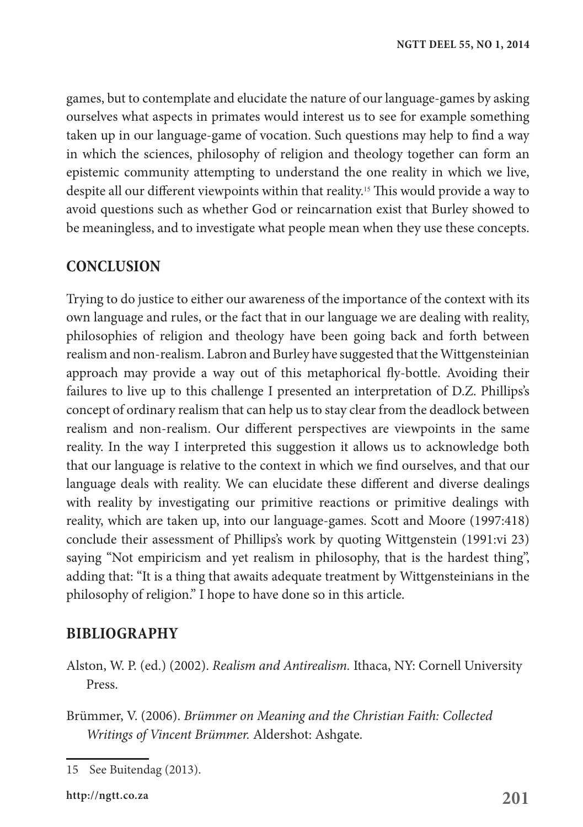games, but to contemplate and elucidate the nature of our language-games by asking ourselves what aspects in primates would interest us to see for example something taken up in our language-game of vocation. Such questions may help to find a way in which the sciences, philosophy of religion and theology together can form an epistemic community attempting to understand the one reality in which we live, despite all our different viewpoints within that reality.15 This would provide a way to avoid questions such as whether God or reincarnation exist that Burley showed to be meaningless, and to investigate what people mean when they use these concepts.

#### **CONCLUSION**

Trying to do justice to either our awareness of the importance of the context with its own language and rules, or the fact that in our language we are dealing with reality, philosophies of religion and theology have been going back and forth between realism and non-realism. Labron and Burley have suggested that the Wittgensteinian approach may provide a way out of this metaphorical fly-bottle. Avoiding their failures to live up to this challenge I presented an interpretation of D.Z. Phillips's concept of ordinary realism that can help us to stay clear from the deadlock between realism and non-realism. Our different perspectives are viewpoints in the same reality. In the way I interpreted this suggestion it allows us to acknowledge both that our language is relative to the context in which we find ourselves, and that our language deals with reality. We can elucidate these different and diverse dealings with reality by investigating our primitive reactions or primitive dealings with reality, which are taken up, into our language-games. Scott and Moore (1997:418) conclude their assessment of Phillips's work by quoting Wittgenstein (1991:vi 23) saying "Not empiricism and yet realism in philosophy, that is the hardest thing", adding that: "It is a thing that awaits adequate treatment by Wittgensteinians in the philosophy of religion." I hope to have done so in this article.

#### **BIBLIOGRAPHY**

- Alston, W. P. (ed.) (2002). *Realism and Antirealism.* Ithaca, NY: Cornell University Press.
- Brümmer, V. (2006). *Brümmer on Meaning and the Christian Faith: Collected Writings of Vincent Brümmer.* Aldershot: Ashgate.

<sup>15</sup> See Buitendag (2013).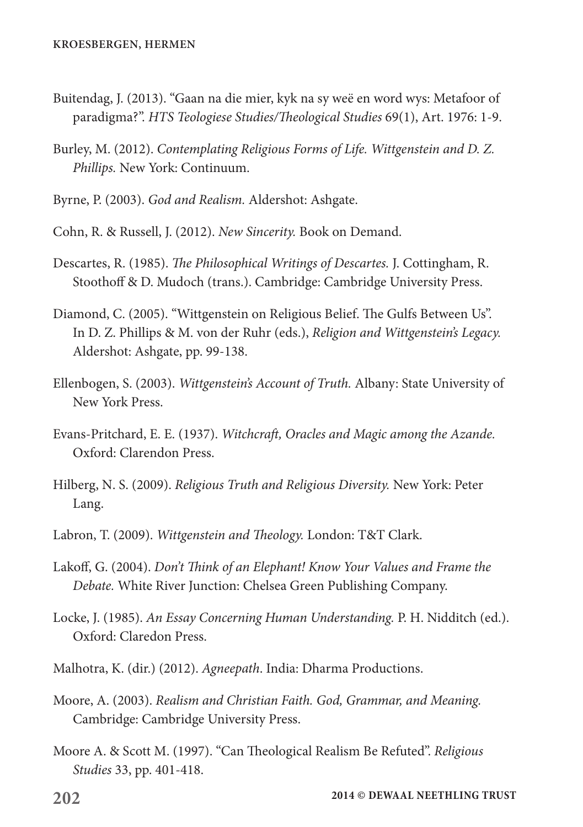- Buitendag, J. (2013). "Gaan na die mier, kyk na sy weë en word wys: Metafoor of paradigma?". *HTS Teologiese Studies/Theological Studies* 69(1), Art. 1976: 1-9.
- Burley, M. (2012). *Contemplating Religious Forms of Life. Wittgenstein and D. Z. Phillips.* New York: Continuum.
- Byrne, P. (2003). *God and Realism.* Aldershot: Ashgate.
- Cohn, R. & Russell, J. (2012). *New Sincerity.* Book on Demand.
- Descartes, R. (1985). *The Philosophical Writings of Descartes.* J. Cottingham, R. Stoothoff & D. Mudoch (trans.). Cambridge: Cambridge University Press.
- Diamond, C. (2005). "Wittgenstein on Religious Belief. The Gulfs Between Us". In D. Z. Phillips & M. von der Ruhr (eds.), *Religion and Wittgenstein's Legacy.* Aldershot: Ashgate, pp. 99-138.
- Ellenbogen, S. (2003). *Wittgenstein's Account of Truth.* Albany: State University of New York Press.
- Evans-Pritchard, E. E. (1937). *Witchcraft, Oracles and Magic among the Azande.* Oxford: Clarendon Press.
- Hilberg, N. S. (2009). *Religious Truth and Religious Diversity.* New York: Peter Lang.
- Labron, T. (2009). *Wittgenstein and Theology.* London: T&T Clark.
- Lakoff, G. (2004). *Don't Think of an Elephant! Know Your Values and Frame the Debate.* White River Junction: Chelsea Green Publishing Company.
- Locke, J. (1985). *An Essay Concerning Human Understanding.* P. H. Nidditch (ed.). Oxford: Claredon Press.
- Malhotra, K. (dir.) (2012). *Agneepath*. India: Dharma Productions.
- Moore, A. (2003). *Realism and Christian Faith. God, Grammar, and Meaning.* Cambridge: Cambridge University Press.
- Moore A. & Scott M. (1997). "Can Theological Realism Be Refuted". *Religious Studies* 33, pp. 401-418.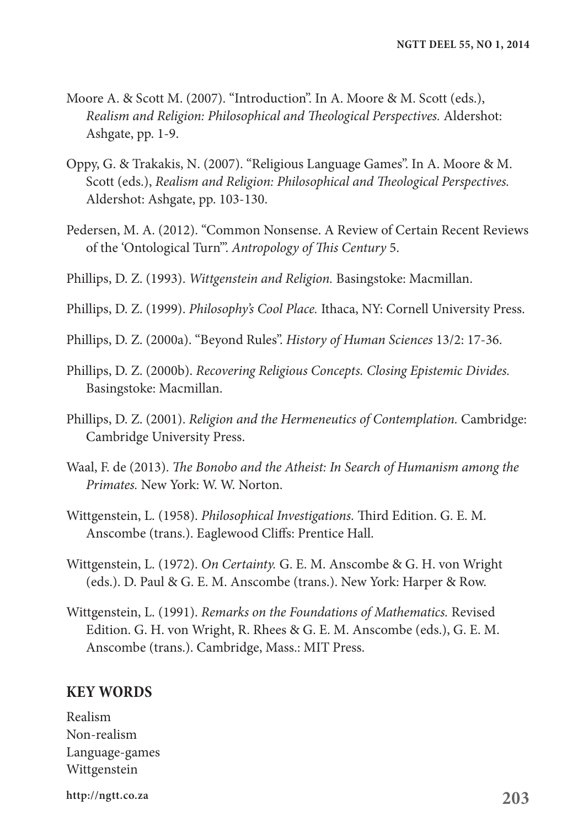- Moore A. & Scott M. (2007). "Introduction". In A. Moore & M. Scott (eds.), *Realism and Religion: Philosophical and Theological Perspectives.* Aldershot: Ashgate, pp. 1-9.
- Oppy, G. & Trakakis, N. (2007). "Religious Language Games". In A. Moore & M. Scott (eds.), *Realism and Religion: Philosophical and Theological Perspectives.* Aldershot: Ashgate, pp. 103-130.
- Pedersen, M. A. (2012). "Common Nonsense. A Review of Certain Recent Reviews of the 'Ontological Turn'". *Antropology of This Century* 5.
- Phillips, D. Z. (1993). *Wittgenstein and Religion.* Basingstoke: Macmillan.
- Phillips, D. Z. (1999). *Philosophy's Cool Place.* Ithaca, NY: Cornell University Press.
- Phillips, D. Z. (2000a). "Beyond Rules". *History of Human Sciences* 13/2: 17-36.
- Phillips, D. Z. (2000b). *Recovering Religious Concepts. Closing Epistemic Divides.* Basingstoke: Macmillan.
- Phillips, D. Z. (2001). *Religion and the Hermeneutics of Contemplation.* Cambridge: Cambridge University Press.
- Waal, F. de (2013). *The Bonobo and the Atheist: In Search of Humanism among the Primates.* New York: W. W. Norton.
- Wittgenstein, L. (1958). *Philosophical Investigations.* Third Edition. G. E. M. Anscombe (trans.). Eaglewood Cliffs: Prentice Hall.
- Wittgenstein, L. (1972). *On Certainty.* G. E. M. Anscombe & G. H. von Wright (eds.). D. Paul & G. E. M. Anscombe (trans.). New York: Harper & Row.
- Wittgenstein, L. (1991). *Remarks on the Foundations of Mathematics.* Revised Edition. G. H. von Wright, R. Rhees & G. E. M. Anscombe (eds.), G. E. M. Anscombe (trans.). Cambridge, Mass.: MIT Press.

#### **KEY WORDS**

Realism Non-realism Language-games Wittgenstein

**203 http://ngtt.co.za**